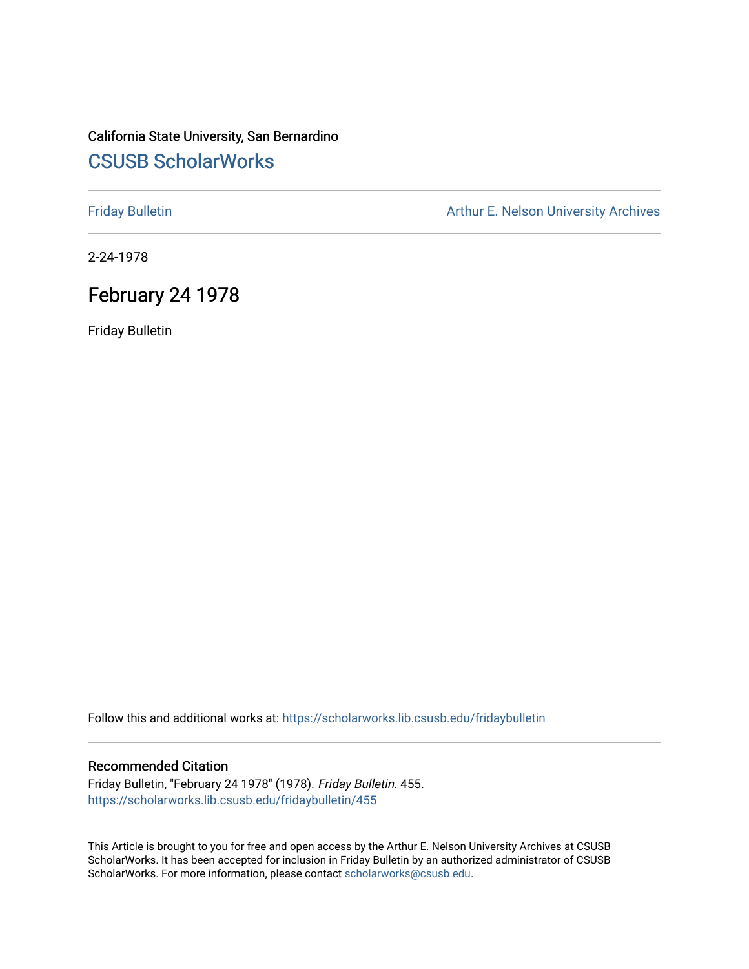## California State University, San Bernardino [CSUSB ScholarWorks](https://scholarworks.lib.csusb.edu/)

[Friday Bulletin](https://scholarworks.lib.csusb.edu/fridaybulletin) **Arthur E. Nelson University Archives** Arthur E. Nelson University Archives

2-24-1978

## February 24 1978

Friday Bulletin

Follow this and additional works at: [https://scholarworks.lib.csusb.edu/fridaybulletin](https://scholarworks.lib.csusb.edu/fridaybulletin?utm_source=scholarworks.lib.csusb.edu%2Ffridaybulletin%2F455&utm_medium=PDF&utm_campaign=PDFCoverPages)

### Recommended Citation

Friday Bulletin, "February 24 1978" (1978). Friday Bulletin. 455. [https://scholarworks.lib.csusb.edu/fridaybulletin/455](https://scholarworks.lib.csusb.edu/fridaybulletin/455?utm_source=scholarworks.lib.csusb.edu%2Ffridaybulletin%2F455&utm_medium=PDF&utm_campaign=PDFCoverPages)

This Article is brought to you for free and open access by the Arthur E. Nelson University Archives at CSUSB ScholarWorks. It has been accepted for inclusion in Friday Bulletin by an authorized administrator of CSUSB ScholarWorks. For more information, please contact [scholarworks@csusb.edu.](mailto:scholarworks@csusb.edu)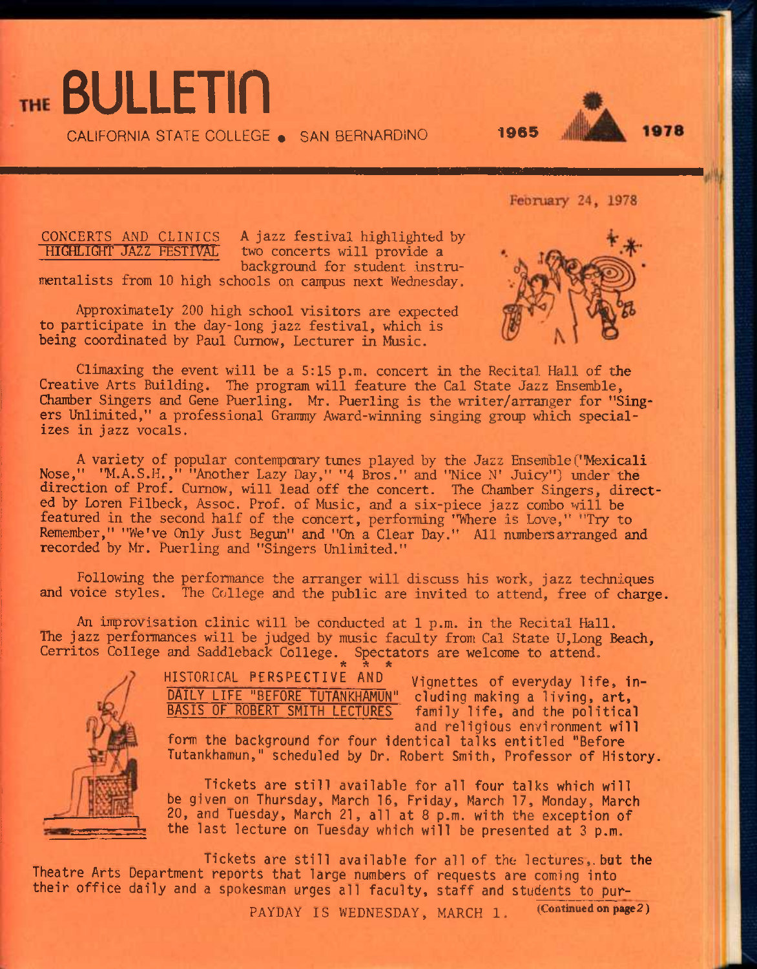CALIFORNIA STATE COLLEGE . SAN BERNARDINO 1965



CONCERTS AND CLINICS A jazz festival highlighted by<br>HIGHLIGHT JAZZ FESTIVAL two concerts will provide a two concerts will provide a background for student instrumentalists from 10 high schools on campus next Wednesday.

THE BULLETIN

Approximately 200 high school visitors are expected to participate in the day-long jazz festival, which is being coordinated by Paul Cumow, Lecturer in Music.

Climaxing the event will be a 5:15 p.m. concert in the Recital Hall of the Creative Arts Building. The program will feature the Cal State Jazz Ensemble, Chamber Singers and Gene Puerling. Mr. Puerling is the writer/arranger for "Singers Unlimited," a professional Grammy Award-winning singing group which specializes in jazz vocals.

A variety of popular contenporary tunes played by the Jazz Ensemble("Mexicali Nose," "M.A.S.H.," "Another Lazy Day," "4 Bros." and "Nice N' Juicy") under the direction of Prof. Cumow, will lead off the concert. The Chamber Singers, directed by Loren Filbeck, Assoc. Prof, of Music, and a six-piece jazz combo will be featured in the second half of the concert, performing "Where is Love," "Try to Remember," "We've Only Just Begun" and "On a Clear Day." All numbers arranged and recorded by Mr. Puerling and "Singers Unlimited."

Following the performance the arranger will discuss his work, jazz techniques and voice styles. The College and the public are invited to attend, free of charge.

An improvisation clinic will be conducted at 1 p.m. in the Recital Hall. The jazz performances will be judged by music faculty from Cal State U,Long Beach, Cerritos College and Saddleback College. Spectators are welcome to attend. *it ^ ^* 



HISTORICAL FERSPECTIVE AND Vignettes of everyday life, 1n-DAILY LIFE "BEFORE TUTANKHAMUN" cluding making a living, art,

family life, and the political and religious environment will

form the background for four identical talks entitled "Before Tutankhamun," scheduled by Dr. Robert Smith, Professor of History.

Tickets are still available for all four talks which will be given on Thursday, March 16, Friday, March 17, Monday, March 20, and Tuesday, March 21, all at 8 p.m. with the exception of the last lecture on Tuesday which will be presented at 3 p.m.

Tickets are still available for all of the lectures,, bat the Theatre Arts Department reports that large numbers of requests are coming into their office daily and a spokesman urges all faculty, staff and students to pur-

PAYDAY IS WEDNESDAY, MARCH 1. (Continued on page 2)

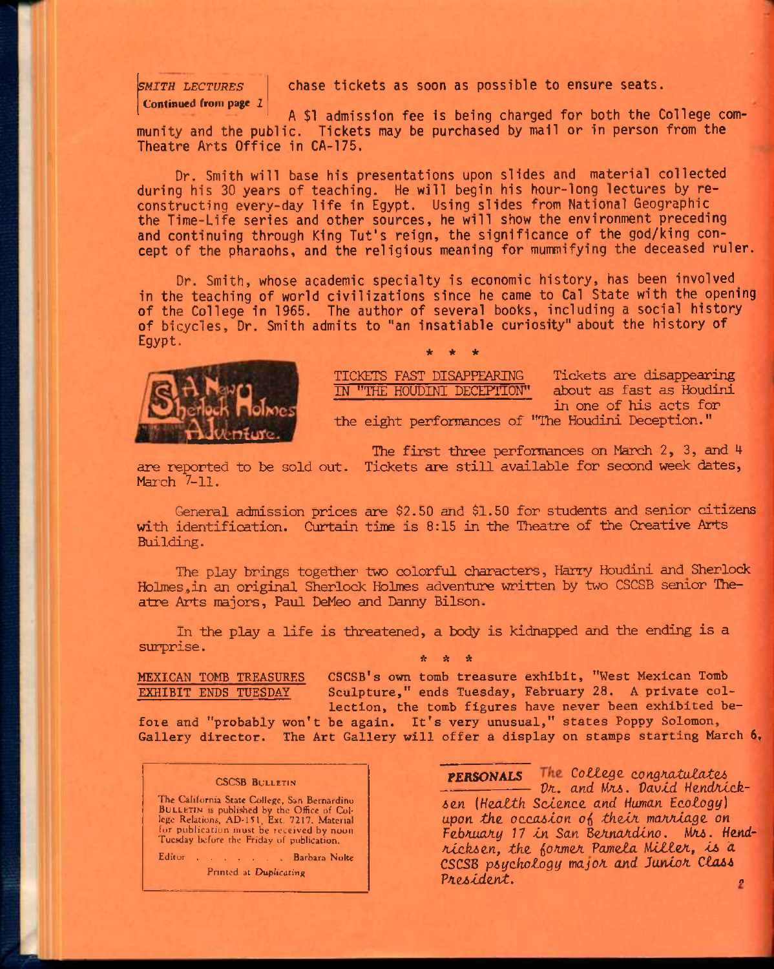# **Continued from page** *1*

**SMITH LECTURES** chase tickets as soon as possible to ensure seats.

A \$1 admission fee is being charged for both the College community and the public. Tickets may be purchased by mail or in person from the Theatre Arts Office in CA-175.

Dr. Smith will base his presentations upon slides and material collected during his 30 years of teaching. He will begin his hour-long lectures by reconstructing every-day life in Egypt. Using slides from National Geographic the Time-Life series and other sources, he will show the environment preceding and continuing through King Tut's reign, the significance of the god/king concept of the pharaohs, and the religious meaning for mummifying the deceased ruler.

Dr. Smith, whose academic specialty is economic history, has been involved^ in the teaching of world civilizations since he came to Cal State with the opening of the College in 1965. The author of several books, including a social history of bicycles. Dr. Smith admits to "an insatiable curiosity" about the history of Egypt. **\* • \*** 



TICKETS FAST DISAPPEARING Tickets are disappearing<br>IN "THE HOUDINI DECEPTION" about as fast as Houdini IN "THE HOUDINI DECEPTION" in one of his acts for the eight performances of "The Houdini Deception."

The first three performances on March  $2$ ,  $3$ , and  $4$ 

are reported to be sold out. Tickets are still available for second week dates, March 7-11.

General admission prices are \$2.50 and \$1.50 for students and senior citizens with identification. Curtain time is 8:15 in the Theatre of the Creative Arts Building.

The play brings together two colorful characters, Harry Houdini and Sherlock ifolmes,in an original Sherlock Holmes adventure written by two CSCSB senior Theatre Arts majors, Paul DeMeo and Danny Bilson.

In the play a life is threatened, a body is kidnapped and the ending is a surprise.

**MEXICAN TOMB TREASURES CSCSB's own tomb treasure exhibit, "West Mexican Tomb**  EXHIBIT ENDS TUESDAY Sculpture," ends Tuesday, February 28. A private col**lection, the tomb figures have never been exhibited be-**

**foie and "probably won't be again. It's very unusual," states Poppy Solomon, Gallery director. The Art Gallery will offer a display on stamps starting March 6,** 

ft ft ft

### CSCSB BULLETIN

The California State College, San Bernardino BULLETIN IS published by the Office of Col-lege Relations, AD-l^I, Ext. 7217. Material for publication must be received by noon Tucsday before the Friday of publication.

Editor . . . . . Barbara Nolte

Printed at Duplicating

**PERSONALS** The College congratulates<br> *Dr. and Mrs. David Hendrick-6e.n [Health Science, and Human Ecotogg] upon the occasion o^ thein. mahjiiage on*  February 17 in San Bernardino. Mrs. Hend*ricks en, the iormer Pamela Hitler, is d*  **CSC5B** *psychology major and Junior Class President. «*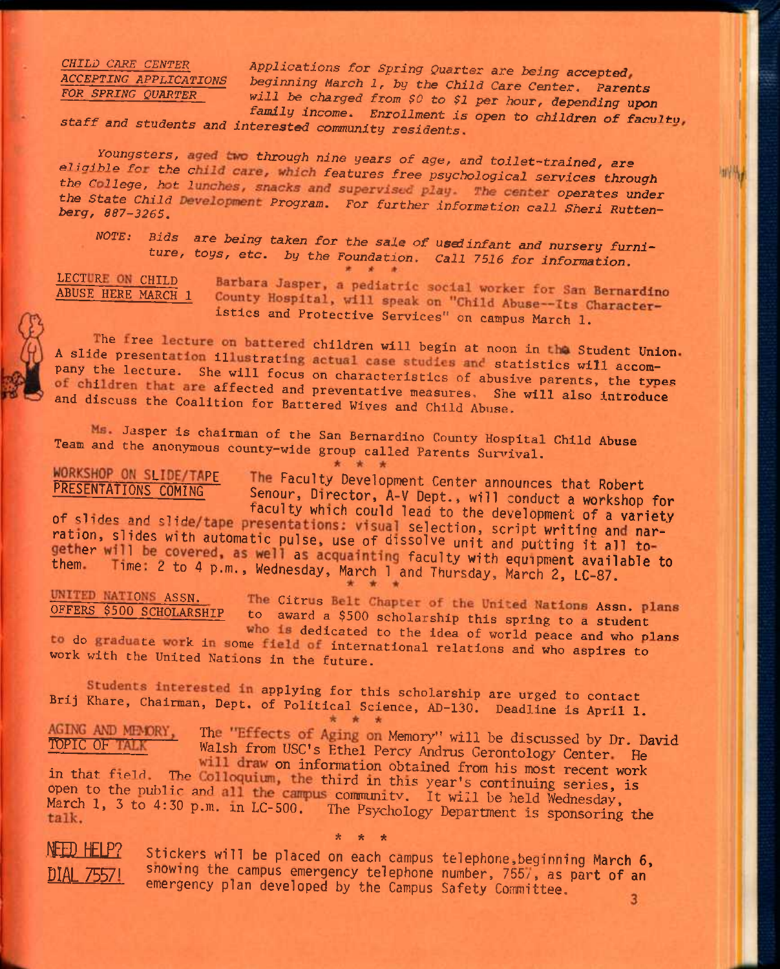### CHILD CARE CENTER ACCEPTING APPLICATIONS FOR SPRING QUARTER

Applications for Spring Quarter are being accepted beginning March 1, by the Child Care Center. Parents will be charged from \$0 to \$1 per hour, depending upon family income. Enrollment is open to children of faculty,

staff and students and interested community residents.

Youngsters, aged two through nine years of age, and toilet-trained, are eligible for the child care, which features free psychological services through the College, hot lunches, snacks and supervised play. The center operates under the State Child Development Program. For further information call Sheri Ruttenberg, 887-3265.

NOTE: Bids are being taken for the sale of used infant and nursery furniture, toys, etc. by the Foundation. Call 7516 for information.

LECTURE ON CHILD **ABUSE HERE MARCH 1** 

PRESENTATIONS COMING

Barbara Jasper, a pediatric social worker for San Bernardino County Hospital, will speak on "Child Abuse--Its Characteristics and Protective Services" on campus March 1.

The free lecture on battered children will begin at noon in the Student Union. A slide presentation illustrating actual case studies and statistics will accompany the lecture. She will focus on characteristics of abusive parents, the types of children that are affected and preventative measures. She will also introduce and discuss the Coalition for Battered Wives and Child Abuse.

Ms. Jasper is chairman of the San Bernardino County Hospital Child Abuse Team and the anonymous county-wide group called Parents Survival.

\* \* \*

WORKSHOP ON SLIDE/TAPE The Faculty Development Center announces that Robert Senour, Director, A-V Dept., will conduct a workshop for faculty which could lead to the development of a variety

of slides and slide/tape presentations: visual selection, script writing and narration, slides with automatic pulse, use of dissolve unit and putting it all together will be covered, as well as acquainting faculty with equipment available to them. Time: 2 to 4 p.m., Wednesday, March 1 and Thursday, March 2, LC-87.

UNITED NATIONS ASSN. OFFERS \$500 SCHOLARSHIP

The Citrus Belt Chapter of the United Nations Assn. plans to award a \$500 scholarship this spring to a student

who is dedicated to the idea of world peace and who plans to do graduate work in some field of international relations and who aspires to work with the United Nations in the future.

Students interested in applying for this scholarship are urged to contact Brij Khare, Chairman, Dept. of Political Science, AD-130. Deadline is April 1.

AGING AND MEMORY, The "Effects of Aging on Memory" will be discussed by Dr. David TOPIC OF TALK Walsh from USC's Ethel Percy Andrus Gerontology Center He

will draw on information obtained from his most recent work in that field. The Colloquium, the third in this year's continuing series, is open to the public and all the campus community. It will be held Wednesday, March 1, 3 to 4:30 p.m. in LC-500. The Psychology Department is sponsoring the

NFED HELP?

Stickers will be placed on each campus telephone, beginning March 6, showing the campus emergency telephone number, 7557, as part of an emergency plan developed by the Campus Safety Committee.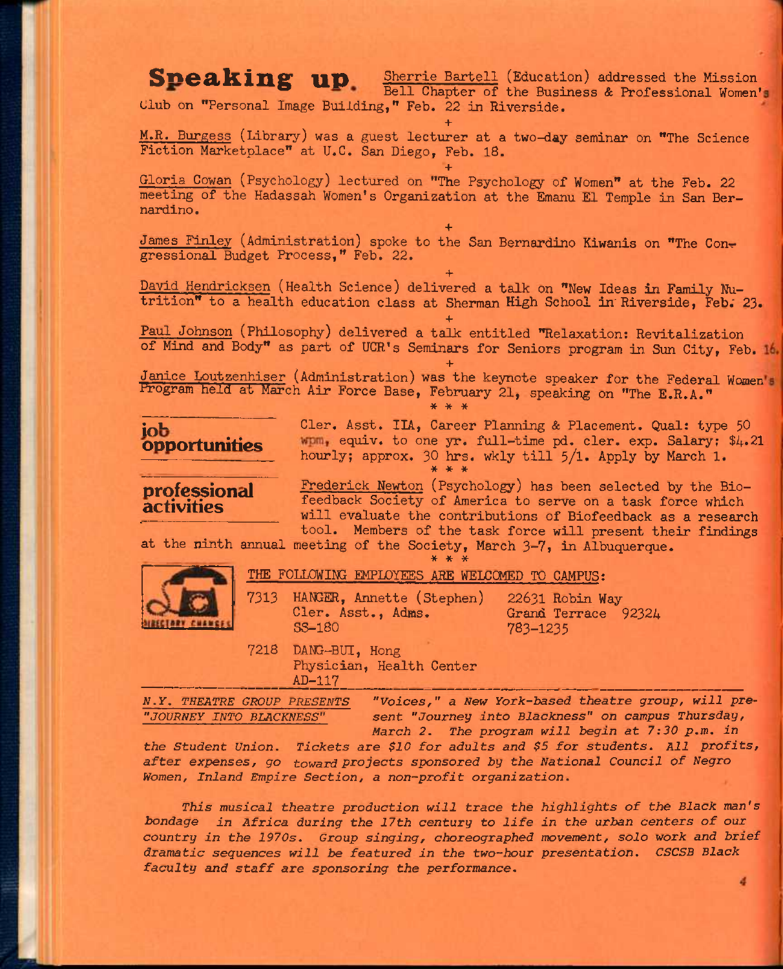Sneaking up Sherrie Bartell (Education) addressed the Mission Bell Chapter of the Business & Professional Women's Club on "Personal Image Building," Feb. 22 in Riverside. **+** 

M.R. Burgess (Library) was a guest lecturer at a two-day seminar on "The Science Fiction Marketplace" at U.C. San Diego, Feb. 18.

**+**  Gloria Cowan (Psychology) lectured on "The Psychology of Women" at the Feb. 22 meeting of the Hadassah Women's Organization at the Emanu El Temple in San Bernardino.

**+**  James Finley (Administration) spoke to the San Bernardino Kiwanis on "The Congressional Budget Process," Feb. 22.

**+**  David Hendricksen (Health Science) delivered a talk on "New Ideas in Family Nutrition" to a health education class at Sherman High School in'Riverside, Feb; 23.

**+**  Paul Johnson (Philosophy) delivered a talk entitled "Relaxation: Revitalization of Mind and Body" as part of UCR's Seminars for Seniors program in Sun City, Feb.

**+**  Janice Loutzenhiser (Administration) was the keynote speaker for the Federal Women Program held at March Air Force Base, February 21, speaking on "The E.R.A."

**\* \* \*** 



**IOb** Cler. Asst. IIA, Career Planning & Placement. Qual: type 50 **ODDOrtunities WDM, equiv.** to one yr. full-time pd. cler. exp. Salary: \$4.21 hourly; approx. 30 hrs. wkly till  $5/1$ . Apply by March 1. **\* \* \*** 

professional Frederick Newton (Psychology) has been selected by the Bio**activities** feedback Society of America to serve on a task force which will evaluate the contributions of Biofeedback as a research tool. Members of the task force will present their findings

at the ninth annual meeting of the Society, March 3—7, in Albuquerque.



THE FOLLOWING EMPLOYEES ARE WELCCMED TO CAMPUS:

**\* \* \*** 

7313 HANGER, Annette (Stephen) 22631 Robin Way<br>Cler. Asst., Adms. Grand Terrace Cler. Asst., Adms. Grand Terrace 92324<br>
SS-180 783-1235

783-1235

7218 DANG-BUI, Hong Physician, Health Center AD-117

*N.Y. THEATRE GROUP PRESENTS "Voices," a New York-based theatre group, will pre- "JOURNEY INTO BLACKNESS" sent "Journey into Blackness" on campus Thursday, March 2. The program will begin at 7:30 p.m. in* 

*the Student Union. Tickets are \$10 for adults and \$5 for students. All profits, after expenses, go toward Projects sponsored by the National Council of Negro Women, Inland Empire Section, a non-profit organization.* 

*This musical theatre production will trace the highlights of the Black man's bondage in Africa during the 17th century to life in the urban centers of our country in the 1970s. Group singing, choreographed movement, solo work and brief dramatic sequences will be featured in the two-hour presentation. CSCSB Black faculty and* staff *are sponsoring the performance.*